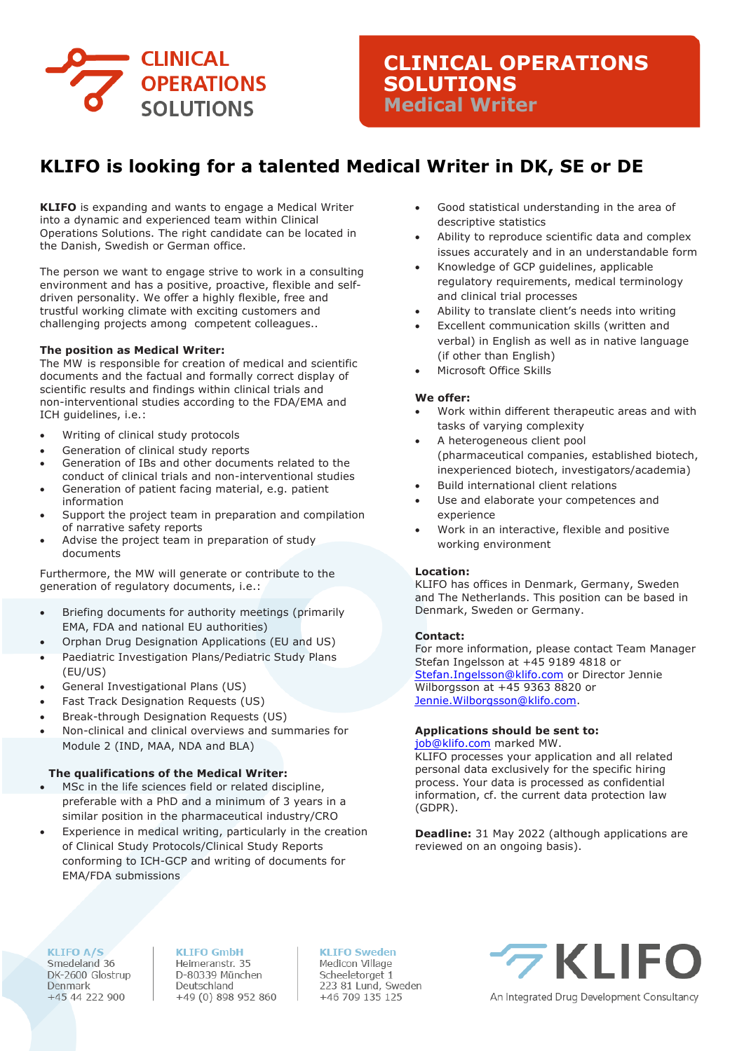

# **KLIFO is looking for a talented Medical Writer in DK, SE or DE**

**KLIFO** is expanding and wants to engage a Medical Writer into a dynamic and experienced team within Clinical Operations Solutions. The right candidate can be located in the Danish, Swedish or German office.

The person we want to engage strive to work in a consulting environment and has a positive, proactive, flexible and selfdriven personality. We offer a highly flexible, free and trustful working climate with exciting customers and challenging projects among competent colleagues..

### **The position as Medical Writer:**

The MW is responsible for creation of medical and scientific documents and the factual and formally correct display of scientific results and findings within clinical trials and non-interventional studies according to the FDA/EMA and ICH guidelines, i.e.:

- Writing of clinical study protocols
- Generation of clinical study reports
- Generation of IBs and other documents related to the conduct of clinical trials and non-interventional studies
- Generation of patient facing material, e.g. patient information
- Support the project team in preparation and compilation of narrative safety reports
- Advise the project team in preparation of study documents

Furthermore, the MW will generate or contribute to the generation of regulatory documents, i.e.:

- Briefing documents for authority meetings (primarily EMA, FDA and national EU authorities)
- Orphan Drug Designation Applications (EU and US)
- Paediatric Investigation Plans/Pediatric Study Plans (EU/US)
- General Investigational Plans (US)
- Fast Track Designation Requests (US)
- Break-through Designation Requests (US)
- Non-clinical and clinical overviews and summaries for Module 2 (IND, MAA, NDA and BLA)

### **The qualifications of the Medical Writer:**

- MSc in the life sciences field or related discipline, preferable with a PhD and a minimum of 3 years in a similar position in the pharmaceutical industry/CRO
- Experience in medical writing, particularly in the creation of Clinical Study Protocols/Clinical Study Reports conforming to ICH-GCP and writing of documents for EMA/FDA submissions
- Good statistical understanding in the area of descriptive statistics
- Ability to reproduce scientific data and complex issues accurately and in an understandable form
- Knowledge of GCP guidelines, applicable regulatory requirements, medical terminology and clinical trial processes
- Ability to translate client's needs into writing
- Excellent communication skills (written and verbal) in English as well as in native language (if other than English)
- Microsoft Office Skills

### **We offer:**

- Work within different therapeutic areas and with tasks of varying complexity
- A heterogeneous client pool (pharmaceutical companies, established biotech, inexperienced biotech, investigators/academia)
- Build international client relations
- Use and elaborate your competences and experience
- Work in an interactive, flexible and positive working environment

### **Location:**

KLIFO has offices in Denmark, Germany, Sweden and The Netherlands. This position can be based in Denmark, Sweden or Germany.

### **Contact:**

For more information, please contact Team Manager Stefan Ingelsson at +45 9189 4818 or Stefan.Ingelsson@klifo.com or Director Jennie Wilborgsson at +45 9363 8820 or Jennie.Wilborgsson@klifo.com.

# **Applications should be sent to:**

## job@klifo.com marked MW.

KLIFO processes your application and all related personal data exclusively for the specific hiring process. Your data is processed as confidential information, cf. the current data protection law (GDPR).

**Deadline:** 31 May 2022 (although applications are reviewed on an ongoing basis).

### **KLIFO A/S**

Smedeland 36 DK-2600 Glostrup Denmark +45 44 222 900

#### **KLIFO GmbH** Heimeranstr. 35 D-80339 München Deutschland

+49 (0) 898 952 860

**KLIFO Sweden** Medicon Village Scheeletorget 1 223 81 Lund, Sweden +46 709 135 125



An Integrated Drug Development Consultancy